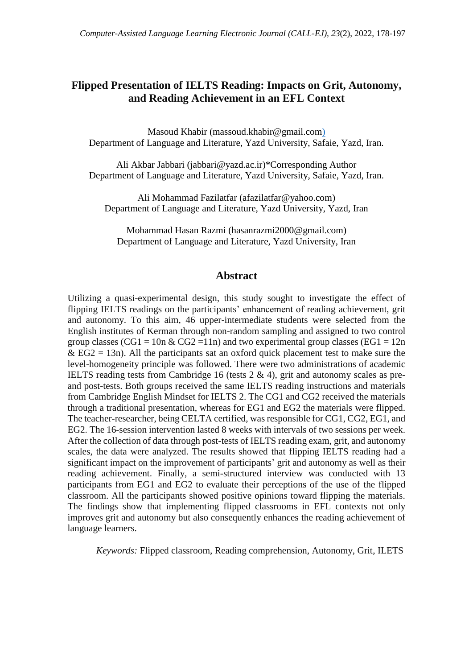# **Flipped Presentation of IELTS Reading: Impacts on Grit, Autonomy, and Reading Achievement in an EFL Context**

Masoud Khabir [\(massoud.khabir@gmail.com\)](mailto:massoud.khabir@gmail.com) Department of Language and Literature, Yazd University, Safaie, Yazd, Iran.

Ali Akbar Jabbari [\(jabbari@yazd.ac.ir\)](mailto:jabbari@yazd.ac.ir)\*Corresponding Author Department of Language and Literature, Yazd University, Safaie, Yazd, Iran.

Ali Mohammad Fazilatfar [\(afazilatfar@yahoo.com\)](mailto:afazilatfar@yahoo.com) Department of Language and Literature, Yazd University, Yazd, Iran

Mohammad Hasan Razmi [\(hasanrazmi2000@gmail.com\)](mailto:hasanrazmi2000@gmail.com) Department of Language and Literature, Yazd University, Iran

# **Abstract**

Utilizing a quasi-experimental design, this study sought to investigate the effect of flipping IELTS readings on the participants' enhancement of reading achievement, grit and autonomy. To this aim, 46 upper-intermediate students were selected from the English institutes of Kerman through non-random sampling and assigned to two control group classes (CG1 = 10n & CG2 = 11n) and two experimental group classes (EG1 = 12n)  $&$  EG2 = 13n). All the participants sat an oxford quick placement test to make sure the level-homogeneity principle was followed. There were two administrations of academic IELTS reading tests from Cambridge 16 (tests 2 & 4), grit and autonomy scales as preand post-tests. Both groups received the same IELTS reading instructions and materials from Cambridge English Mindset for IELTS 2. The CG1 and CG2 received the materials through a traditional presentation, whereas for EG1 and EG2 the materials were flipped. The teacher-researcher, being CELTA certified, was responsible for CG1, CG2, EG1, and EG2. The 16-session intervention lasted 8 weeks with intervals of two sessions per week. After the collection of data through post-tests of IELTS reading exam, grit, and autonomy scales, the data were analyzed. The results showed that flipping IELTS reading had a significant impact on the improvement of participants' grit and autonomy as well as their reading achievement. Finally, a semi-structured interview was conducted with 13 participants from EG1 and EG2 to evaluate their perceptions of the use of the flipped classroom. All the participants showed positive opinions toward flipping the materials. The findings show that implementing flipped classrooms in EFL contexts not only improves grit and autonomy but also consequently enhances the reading achievement of language learners.

*Keywords:* Flipped classroom, Reading comprehension, Autonomy, Grit, ILETS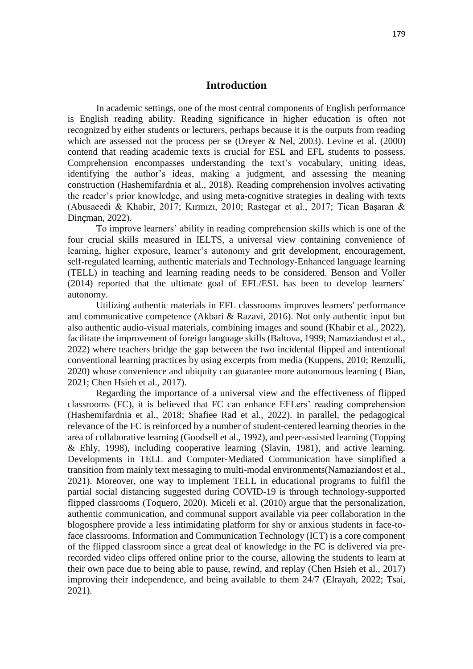# **Introduction**

In academic settings, one of the most central components of English performance is English reading ability. Reading significance in higher education is often not recognized by either students or lecturers, perhaps because it is the outputs from reading which are assessed not the process per se (Dreyer & Nel, 2003). Levine et al. (2000) contend that reading academic texts is crucial for ESL and EFL students to possess. Comprehension encompasses understanding the text's vocabulary, uniting ideas, identifying the author's ideas, making a judgment, and assessing the meaning construction (Hashemifardnia et al., 2018). Reading comprehension involves activating the reader's prior knowledge, and using meta-cognitive strategies in dealing with texts (Abusaeedi & Khabir, 2017; Kırmızı, 2010; Rastegar et al., 2017; Tican Başaran & Dinçman, 2022).

To improve learners' ability in reading comprehension skills which is one of the four crucial skills measured in IELTS, a universal view containing convenience of learning, higher exposure, learner's autonomy and grit development, encouragement, self-regulated learning, authentic materials and Technology-Enhanced language learning (TELL) in teaching and learning reading needs to be considered. Benson and Voller (2014) reported that the ultimate goal of EFL/ESL has been to develop learners' autonomy.

Utilizing authentic materials in EFL classrooms improves learners' performance and communicative competence (Akbari & Razavi, 2016). Not only authentic input but also authentic audio-visual materials, combining images and sound (Khabir et al., 2022), facilitate the improvement of foreign language skills (Baltova, 1999; Namaziandost et al., 2022) where teachers bridge the gap between the two incidental flipped and intentional conventional learning practices by using excerpts from media (Kuppens, 2010; Renzulli, 2020) whose convenience and ubiquity can guarantee more autonomous learning ( Bian, 2021; Chen Hsieh et al., 2017).

Regarding the importance of a universal view and the effectiveness of flipped classrooms (FC), it is believed that FC can enhance EFLers' reading comprehension (Hashemifardnia et al., 2018; Shafiee Rad et al., 2022). In parallel, the pedagogical relevance of the FC is reinforced by a number of student-centered learning theories in the area of collaborative learning (Goodsell et al., 1992), and peer-assisted learning (Topping & Ehly, 1998), including cooperative learning (Slavin, 1981), and active learning. Developments in TELL and Computer-Mediated Communication have simplified a transition from mainly text messaging to multi-modal environments(Namaziandost et al., 2021). Moreover, one way to implement TELL in educational programs to fulfil the partial social distancing suggested during COVID-19 is through technology-supported flipped classrooms (Toquero, 2020). Miceli et al. (2010) argue that the personalization, authentic communication, and communal support available via peer collaboration in the blogosphere provide a less intimidating platform for shy or anxious students in face-toface classrooms. Information and Communication Technology (ICT) is a core component of the flipped classroom since a great deal of knowledge in the FC is delivered via prerecorded video clips offered online prior to the course, allowing the students to learn at their own pace due to being able to pause, rewind, and replay (Chen Hsieh et al., 2017) improving their independence, and being available to them 24/7 (Elrayah, 2022; Tsai, 2021).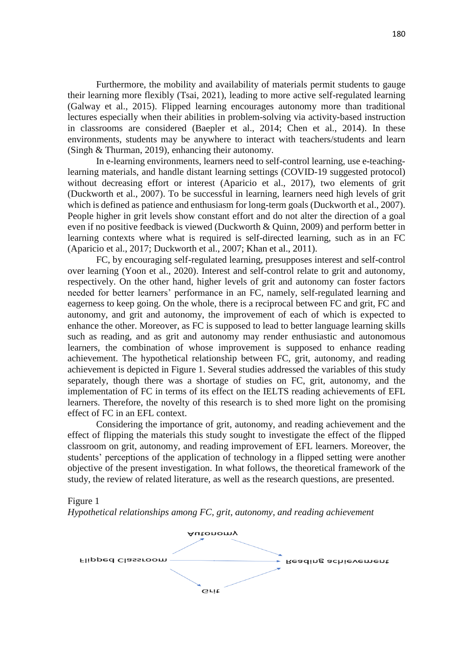Furthermore, the mobility and availability of materials permit students to gauge their learning more flexibly (Tsai, 2021), leading to more active self-regulated learning (Galway et al., 2015). Flipped learning encourages autonomy more than traditional lectures especially when their abilities in problem-solving via activity-based instruction in classrooms are considered (Baepler et al., 2014; Chen et al., 2014). In these environments, students may be anywhere to interact with teachers/students and learn (Singh & Thurman, 2019), enhancing their autonomy.

In e-learning environments, learners need to self-control learning, use e-teachinglearning materials, and handle distant learning settings (COVID-19 suggested protocol) without decreasing effort or interest (Aparicio et al., 2017), two elements of grit (Duckworth et al., 2007). To be successful in learning, learners need high levels of grit which is defined as patience and enthusiasm for long-term goals (Duckworth et al., 2007). People higher in grit levels show constant effort and do not alter the direction of a goal even if no positive feedback is viewed (Duckworth & Quinn, 2009) and perform better in learning contexts where what is required is self-directed learning, such as in an FC (Aparicio et al., 2017; Duckworth et al., 2007; Khan et al., 2011).

FC, by encouraging self-regulated learning, presupposes interest and self-control over learning (Yoon et al., 2020). Interest and self-control relate to grit and autonomy, respectively. On the other hand, higher levels of grit and autonomy can foster factors needed for better learners' performance in an FC, namely, self-regulated learning and eagerness to keep going. On the whole, there is a reciprocal between FC and grit, FC and autonomy, and grit and autonomy, the improvement of each of which is expected to enhance the other. Moreover, as FC is supposed to lead to better language learning skills such as reading, and as grit and autonomy may render enthusiastic and autonomous learners, the combination of whose improvement is supposed to enhance reading achievement. The hypothetical relationship between FC, grit, autonomy, and reading achievement is depicted in Figure 1. Several studies addressed the variables of this study separately, though there was a shortage of studies on FC, grit, autonomy, and the implementation of FC in terms of its effect on the IELTS reading achievements of EFL learners. Therefore, the novelty of this research is to shed more light on the promising effect of FC in an EFL context.

Considering the importance of grit, autonomy, and reading achievement and the effect of flipping the materials this study sought to investigate the effect of the flipped classroom on grit, autonomy, and reading improvement of EFL learners. Moreover, the students' perceptions of the application of technology in a flipped setting were another objective of the present investigation. In what follows, the theoretical framework of the study, the review of related literature, as well as the research questions, are presented.

## Figure 1

*Hypothetical relationships among FC, grit, autonomy, and reading achievement*

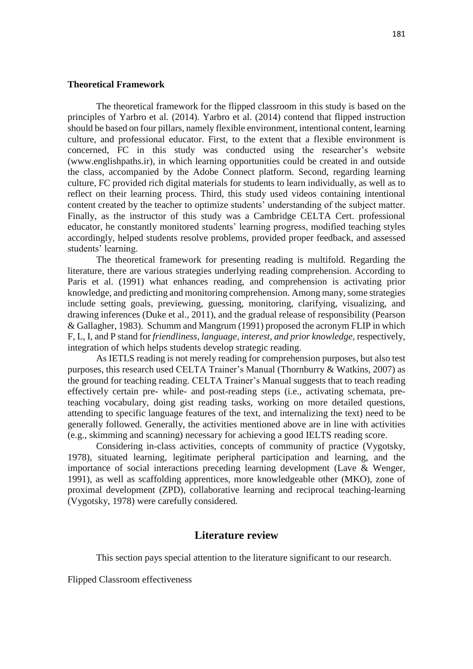## **Theoretical Framework**

The theoretical framework for the flipped classroom in this study is based on the principles of Yarbro et al. (2014). Yarbro et al. (2014) contend that flipped instruction should be based on four pillars, namely flexible environment, intentional content, learning culture, and professional educator. First, to the extent that a flexible environment is concerned, FC in this study was conducted using the researcher's website (www.englishpaths.ir), in which learning opportunities could be created in and outside the class, accompanied by the Adobe Connect platform. Second, regarding learning culture, FC provided rich digital materials for students to learn individually, as well as to reflect on their learning process. Third, this study used videos containing intentional content created by the teacher to optimize students' understanding of the subject matter. Finally, as the instructor of this study was a Cambridge CELTA Cert. professional educator, he constantly monitored students' learning progress, modified teaching styles accordingly, helped students resolve problems, provided proper feedback, and assessed students' learning.

The theoretical framework for presenting reading is multifold. Regarding the literature, there are various strategies underlying reading comprehension. According to Paris et al. (1991) what enhances reading, and comprehension is activating prior knowledge, and predicting and monitoring comprehension. Among many, some strategies include setting goals, previewing, guessing, monitoring, clarifying, visualizing, and drawing inferences (Duke et al., 2011), and the gradual release of responsibility (Pearson & Gallagher, 1983). Schumm and Mangrum (1991) proposed the acronym FLIP in which F, L, I, and P stand for *friendliness, language, interest, and prior knowledge,* respectively, integration of which helps students develop strategic reading.

As IETLS reading is not merely reading for comprehension purposes, but also test purposes, this research used CELTA Trainer's Manual (Thornburry & Watkins, 2007) as the ground for teaching reading. CELTA Trainer's Manual suggests that to teach reading effectively certain pre- while- and post-reading steps (i.e., activating schemata, preteaching vocabulary, doing gist reading tasks, working on more detailed questions, attending to specific language features of the text, and internalizing the text) need to be generally followed. Generally, the activities mentioned above are in line with activities (e.g., skimming and scanning) necessary for achieving a good IELTS reading score.

Considering in-class activities, concepts of community of practice (Vygotsky, 1978), situated learning, legitimate peripheral participation and learning, and the importance of social interactions preceding learning development (Lave  $\&$  Wenger, 1991), as well as scaffolding apprentices, more knowledgeable other (MKO), zone of proximal development (ZPD), collaborative learning and reciprocal teaching-learning (Vygotsky, 1978) were carefully considered.

# **Literature review**

This section pays special attention to the literature significant to our research.

Flipped Classroom effectiveness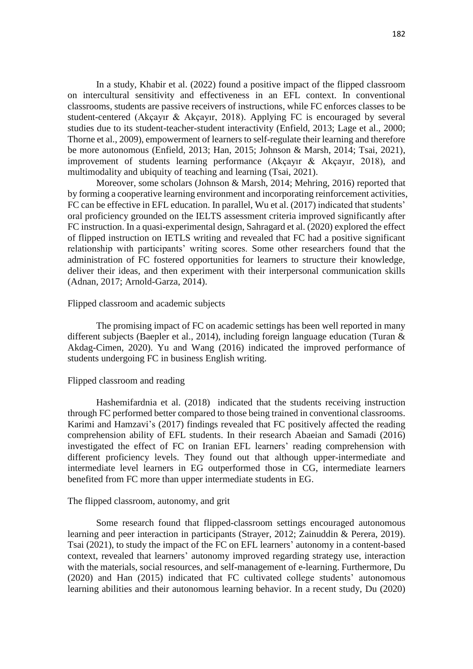In a study, Khabir et al. (2022) found a positive impact of the flipped classroom on intercultural sensitivity and effectiveness in an EFL context. In conventional classrooms, students are passive receivers of instructions, while FC enforces classes to be student-centered (Akçayır & Akçayır, 2018). Applying FC is encouraged by several studies due to its student-teacher-student interactivity (Enfield, 2013; Lage et al., 2000; Thorne et al., 2009), empowerment of learners to self-regulate their learning and therefore be more autonomous (Enfield, 2013; Han, 2015; Johnson & Marsh, 2014; Tsai, 2021), improvement of students learning performance (Akçayır & Akçayır, 2018), and multimodality and ubiquity of teaching and learning (Tsai, 2021).

Moreover, some scholars (Johnson & Marsh, 2014; Mehring, 2016) reported that by forming a cooperative learning environment and incorporating reinforcement activities, FC can be effective in EFL education. In parallel, Wu et al. (2017) indicated that students' oral proficiency grounded on the IELTS assessment criteria improved significantly after FC instruction. In a quasi-experimental design, Sahragard et al. (2020) explored the effect of flipped instruction on IETLS writing and revealed that FC had a positive significant relationship with participants' writing scores. Some other researchers found that the administration of FC fostered opportunities for learners to structure their knowledge, deliver their ideas, and then experiment with their interpersonal communication skills (Adnan, 2017; Arnold-Garza, 2014).

## Flipped classroom and academic subjects

The promising impact of FC on academic settings has been well reported in many different subjects (Baepler et al., 2014), including foreign language education (Turan & Akdag-Cimen, 2020). Yu and Wang (2016) indicated the improved performance of students undergoing FC in business English writing.

## Flipped classroom and reading

Hashemifardnia et al. (2018) indicated that the students receiving instruction through FC performed better compared to those being trained in conventional classrooms. Karimi and Hamzavi's (2017) findings revealed that FC positively affected the reading comprehension ability of EFL students. In their research Abaeian and Samadi (2016) investigated the effect of FC on Iranian EFL learners' reading comprehension with different proficiency levels. They found out that although upper-intermediate and intermediate level learners in EG outperformed those in CG, intermediate learners benefited from FC more than upper intermediate students in EG.

### The flipped classroom, autonomy, and grit

Some research found that flipped-classroom settings encouraged autonomous learning and peer interaction in participants (Strayer, 2012; Zainuddin & Perera, 2019). Tsai (2021), to study the impact of the FC on EFL learners' autonomy in a content-based context, revealed that learners' autonomy improved regarding strategy use, interaction with the materials, social resources, and self-management of e-learning. Furthermore, Du (2020) and Han (2015) indicated that FC cultivated college students' autonomous learning abilities and their autonomous learning behavior. In a recent study, Du (2020)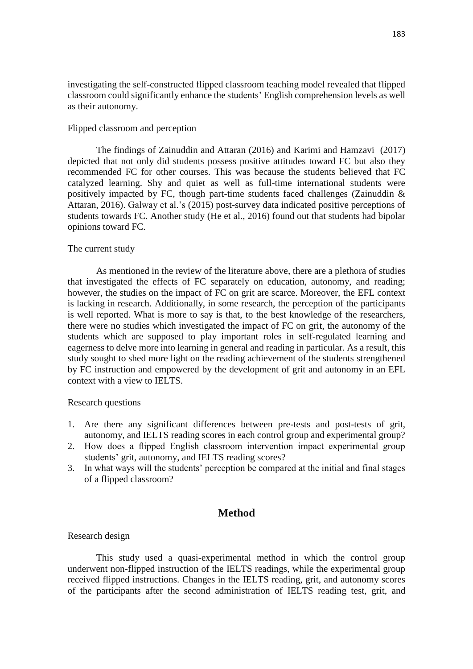investigating the self-constructed flipped classroom teaching model revealed that flipped classroom could significantly enhance the students' English comprehension levels as well as their autonomy.

## Flipped classroom and perception

The findings of Zainuddin and Attaran (2016) and Karimi and Hamzavi (2017) depicted that not only did students possess positive attitudes toward FC but also they recommended FC for other courses. This was because the students believed that FC catalyzed learning. Shy and quiet as well as full-time international students were positively impacted by FC, though part-time students faced challenges (Zainuddin & Attaran, 2016). Galway et al.'s (2015) post-survey data indicated positive perceptions of students towards FC. Another study (He et al., 2016) found out that students had bipolar opinions toward FC.

## The current study

As mentioned in the review of the literature above, there are a plethora of studies that investigated the effects of FC separately on education, autonomy, and reading; however, the studies on the impact of FC on grit are scarce. Moreover, the EFL context is lacking in research. Additionally, in some research, the perception of the participants is well reported. What is more to say is that, to the best knowledge of the researchers, there were no studies which investigated the impact of FC on grit, the autonomy of the students which are supposed to play important roles in self-regulated learning and eagerness to delve more into learning in general and reading in particular. As a result, this study sought to shed more light on the reading achievement of the students strengthened by FC instruction and empowered by the development of grit and autonomy in an EFL context with a view to IELTS.

## Research questions

- 1. Are there any significant differences between pre-tests and post-tests of grit, autonomy, and IELTS reading scores in each control group and experimental group?
- 2. How does a flipped English classroom intervention impact experimental group students' grit, autonomy, and IELTS reading scores?
- 3. In what ways will the students' perception be compared at the initial and final stages of a flipped classroom?

# **Method**

# Research design

This study used a quasi-experimental method in which the control group underwent non-flipped instruction of the IELTS readings, while the experimental group received flipped instructions. Changes in the IELTS reading, grit, and autonomy scores of the participants after the second administration of IELTS reading test, grit, and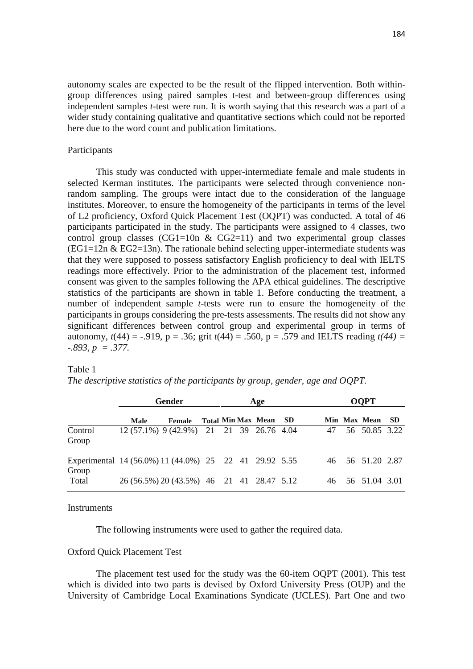autonomy scales are expected to be the result of the flipped intervention. Both withingroup differences using paired samples t-test and between-group differences using independent samples *t-*test were run. It is worth saying that this research was a part of a wider study containing qualitative and quantitative sections which could not be reported here due to the word count and publication limitations.

## Participants

This study was conducted with upper-intermediate female and male students in selected Kerman institutes. The participants were selected through convenience nonrandom sampling. The groups were intact due to the consideration of the language institutes. Moreover, to ensure the homogeneity of the participants in terms of the level of L2 proficiency, Oxford Quick Placement Test (OQPT) was conducted. A total of 46 participants participated in the study. The participants were assigned to 4 classes, two control group classes  $(CG1=10n \& CG2=11)$  and two experimental group classes  $(EG1=12n \& EG2=13n)$ . The rationale behind selecting upper-intermediate students was that they were supposed to possess satisfactory English proficiency to deal with IELTS readings more effectively. Prior to the administration of the placement test, informed consent was given to the samples following the APA ethical guidelines. The descriptive statistics of the participants are shown in table 1. Before conducting the treatment, a number of independent sample *t*-tests were run to ensure the homogeneity of the participants in groups considering the pre-tests assessments. The results did not show any significant differences between control group and experimental group in terms of autonomy,  $t(44) = -.919$ ,  $p = .36$ ; grit  $t(44) = .560$ ,  $p = .579$  and IELTS reading  $t(44) =$ *-.893, p = .377.*

#### Table 1

|                                                                 | <b>Gender</b>                             |        |  | Age |  |                       |  |    | <b>OOPT</b> |                  |      |  |
|-----------------------------------------------------------------|-------------------------------------------|--------|--|-----|--|-----------------------|--|----|-------------|------------------|------|--|
|                                                                 | <b>Male</b>                               | Female |  |     |  | Total Min Max Mean SD |  |    |             | Min Max Mean     | - SD |  |
| Control<br>Group                                                | 12 (57.1%) 9 (42.9%) 21 21 39 26.76 4.04  |        |  |     |  |                       |  | 47 |             | 56 50.85 3.22    |      |  |
| Experimental 14 (56.0%) 11 (44.0%) 25 22 41 29.92 5.55<br>Group |                                           |        |  |     |  |                       |  |    |             | 46 56 51.20 2.87 |      |  |
| Total                                                           | 26 (56.5%) 20 (43.5%) 46 21 41 28.47 5.12 |        |  |     |  |                       |  | 46 |             | 56 51.04 3.01    |      |  |

# *The descriptive statistics of the participants by group, gender, age and OQPT.*

**Instruments** 

The following instruments were used to gather the required data.

## Oxford Quick Placement Test

The placement test used for the study was the 60-item OQPT (2001). This test which is divided into two parts is devised by Oxford University Press (OUP) and the University of Cambridge Local Examinations Syndicate (UCLES). Part One and two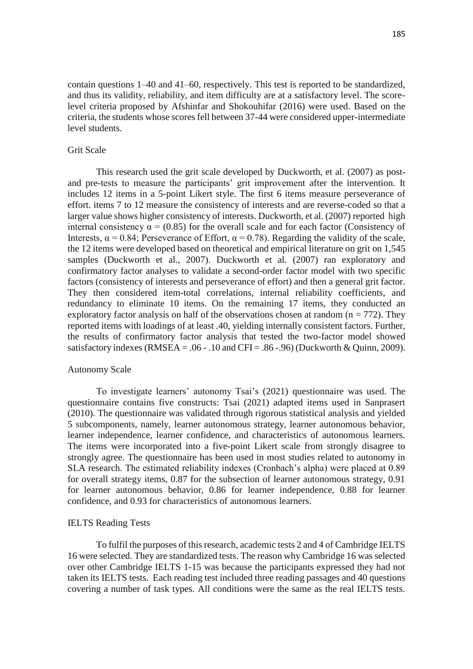contain questions 1–40 and 41–60, respectively. This test is reported to be standardized, and thus its validity, reliability, and item difficulty are at a satisfactory level. The scorelevel criteria proposed by Afshinfar and Shokouhifar (2016) were used. Based on the criteria, the students whose scores fell between 37-44 were considered upper-intermediate level students.

## Grit Scale

This research used the grit scale developed by Duckworth, et al. (2007) as postand pre-tests to measure the participants' grit improvement after the intervention. It includes 12 items in a 5-point Likert style. The first 6 items measure perseverance of effort. items 7 to 12 measure the consistency of interests and are reverse-coded so that a larger value shows higher consistency of interests. Duckworth, et al. (2007) reported high internal consistency  $\alpha$  = (0.85) for the overall scale and for each factor (Consistency of Interests,  $\alpha = 0.84$ ; Perseverance of Effort,  $\alpha = 0.78$ ). Regarding the validity of the scale, the 12 items were developed based on theoretical and empirical literature on grit on 1,545 samples (Duckworth et al., 2007). Duckworth et al. (2007) ran exploratory and confirmatory factor analyses to validate a second-order factor model with two specific factors (consistency of interests and perseverance of effort) and then a general grit factor. They then considered item-total correlations, internal reliability coefficients, and redundancy to eliminate 10 items. On the remaining 17 items, they conducted an exploratory factor analysis on half of the observations chosen at random ( $n = 772$ ). They reported items with loadings of at least .40, yielding internally consistent factors. Further, the results of confirmatory factor analysis that tested the two-factor model showed satisfactory indexes (RMSEA =  $.06 - .10$  and CFI =  $.86 - .96$ ) (Duckworth & Quinn, 2009).

### Autonomy Scale

To investigate learners' autonomy Tsai's (2021) questionnaire was used. The questionnaire contains five constructs: Tsai (2021) adapted items used in Sanprasert (2010). The questionnaire was validated through rigorous statistical analysis and yielded 5 subcomponents, namely, learner autonomous strategy, learner autonomous behavior, learner independence, learner confidence, and characteristics of autonomous learners. The items were incorporated into a five-point Likert scale from strongly disagree to strongly agree. The questionnaire has been used in most studies related to autonomy in SLA research. The estimated reliability indexes (Cronbach's alpha) were placed at 0.89 for overall strategy items, 0.87 for the subsection of learner autonomous strategy, 0.91 for learner autonomous behavior, 0.86 for learner independence, 0.88 for learner confidence, and 0.93 for characteristics of autonomous learners.

#### IELTS Reading Tests

To fulfil the purposes of this research, academic tests 2 and 4 of Cambridge IELTS 16 were selected. They are standardized tests. The reason why Cambridge 16 was selected over other Cambridge IELTS 1-15 was because the participants expressed they had not taken its IELTS tests. Each reading test included three reading passages and 40 questions covering a number of task types. All conditions were the same as the real IELTS tests.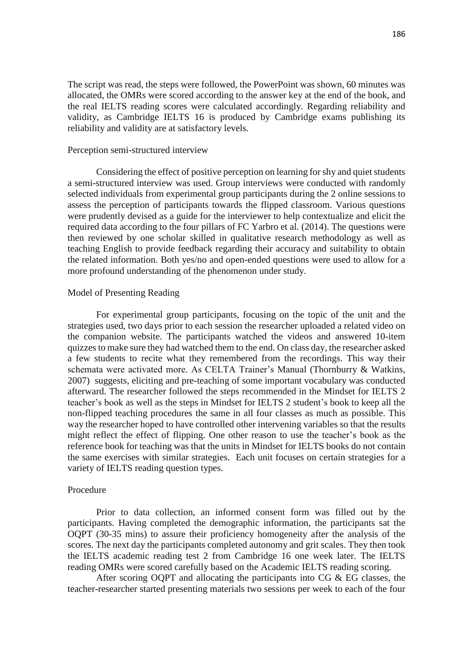The script was read, the steps were followed, the PowerPoint was shown, 60 minutes was allocated, the OMRs were scored according to the answer key at the end of the book, and the real IELTS reading scores were calculated accordingly. Regarding reliability and validity, as Cambridge IELTS 16 is produced by Cambridge exams publishing its reliability and validity are at satisfactory levels.

#### Perception semi-structured interview

Considering the effect of positive perception on learning for shy and quiet students a semi-structured interview was used. Group interviews were conducted with randomly selected individuals from experimental group participants during the 2 online sessions to assess the perception of participants towards the flipped classroom. Various questions were prudently devised as a guide for the interviewer to help contextualize and elicit the required data according to the four pillars of FC Yarbro et al. (2014). The questions were then reviewed by one scholar skilled in qualitative research methodology as well as teaching English to provide feedback regarding their accuracy and suitability to obtain the related information. Both yes/no and open-ended questions were used to allow for a more profound understanding of the phenomenon under study.

## Model of Presenting Reading

For experimental group participants, focusing on the topic of the unit and the strategies used, two days prior to each session the researcher uploaded a related video on the companion website. The participants watched the videos and answered 10-item quizzes to make sure they had watched them to the end. On class day, the researcher asked a few students to recite what they remembered from the recordings. This way their schemata were activated more. As CELTA Trainer's Manual (Thornburry & Watkins, 2007) suggests, eliciting and pre-teaching of some important vocabulary was conducted afterward. The researcher followed the steps recommended in the Mindset for IELTS 2 teacher's book as well as the steps in Mindset for IELTS 2 student's book to keep all the non-flipped teaching procedures the same in all four classes as much as possible. This way the researcher hoped to have controlled other intervening variables so that the results might reflect the effect of flipping. One other reason to use the teacher's book as the reference book for teaching was that the units in Mindset for IELTS books do not contain the same exercises with similar strategies. Each unit focuses on certain strategies for a variety of IELTS reading question types.

#### Procedure

Prior to data collection, an informed consent form was filled out by the participants. Having completed the demographic information, the participants sat the OQPT (30-35 mins) to assure their proficiency homogeneity after the analysis of the scores. The next day the participants completed autonomy and grit scales. They then took the IELTS academic reading test 2 from Cambridge 16 one week later. The IELTS reading OMRs were scored carefully based on the Academic IELTS reading scoring.

After scoring OQPT and allocating the participants into CG & EG classes, the teacher-researcher started presenting materials two sessions per week to each of the four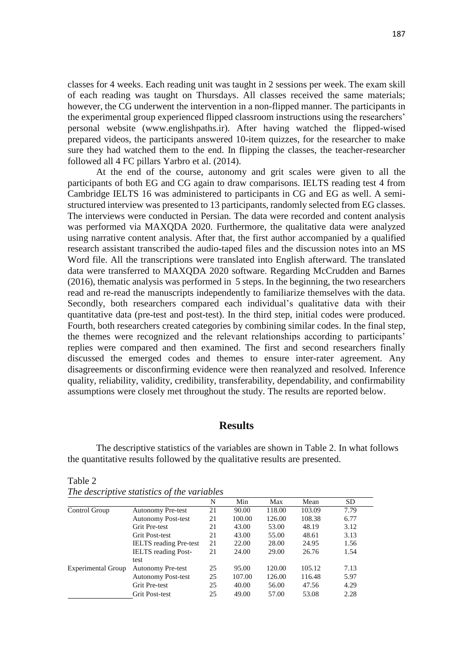classes for 4 weeks. Each reading unit was taught in 2 sessions per week. The exam skill of each reading was taught on Thursdays. All classes received the same materials; however, the CG underwent the intervention in a non-flipped manner. The participants in the experimental group experienced flipped classroom instructions using the researchers' personal website (www.englishpaths.ir). After having watched the flipped-wised prepared videos, the participants answered 10-item quizzes, for the researcher to make sure they had watched them to the end. In flipping the classes, the teacher-researcher followed all 4 FC pillars Yarbro et al. (2014).

At the end of the course, autonomy and grit scales were given to all the participants of both EG and CG again to draw comparisons. IELTS reading test 4 from Cambridge IELTS 16 was administered to participants in CG and EG as well. A semistructured interview was presented to 13 participants, randomly selected from EG classes. The interviews were conducted in Persian. The data were recorded and content analysis was performed via MAXQDA 2020. Furthermore, the qualitative data were analyzed using narrative content analysis. After that, the first author accompanied by a qualified research assistant transcribed the audio-taped files and the discussion notes into an MS Word file. All the transcriptions were translated into English afterward. The translated data were transferred to MAXQDA 2020 software. Regarding McCrudden and Barnes (2016), thematic analysis was performed in 5 steps. In the beginning, the two researchers read and re-read the manuscripts independently to familiarize themselves with the data. Secondly, both researchers compared each individual's qualitative data with their quantitative data (pre-test and post-test). In the third step, initial codes were produced. Fourth, both researchers created categories by combining similar codes. In the final step, the themes were recognized and the relevant relationships according to participants' replies were compared and then examined. The first and second researchers finally discussed the emerged codes and themes to ensure inter-rater agreement. Any disagreements or disconfirming evidence were then reanalyzed and resolved. Inference quality, reliability, validity, credibility, transferability, dependability, and confirmability assumptions were closely met throughout the study. The results are reported below.

# **Results**

The descriptive statistics of the variables are shown in Table 2. In what follows the quantitative results followed by the qualitative results are presented.

| The descriptive statistics of the variables |                               |    |        |        |        |           |  |  |  |
|---------------------------------------------|-------------------------------|----|--------|--------|--------|-----------|--|--|--|
|                                             |                               | N  | Min    | Max    | Mean   | <b>SD</b> |  |  |  |
| Control Group                               | <b>Autonomy Pre-test</b>      | 21 | 90.00  | 118.00 | 103.09 | 7.79      |  |  |  |
|                                             | <b>Autonomy Post-test</b>     | 21 | 100.00 | 126.00 | 108.38 | 6.77      |  |  |  |
|                                             | <b>Grit Pre-test</b>          | 21 | 43.00  | 53.00  | 48.19  | 3.12      |  |  |  |
|                                             | <b>Grit Post-test</b>         | 21 | 43.00  | 55.00  | 48.61  | 3.13      |  |  |  |
|                                             | <b>IELTS</b> reading Pre-test | 21 | 22.00  | 28.00  | 24.95  | 1.56      |  |  |  |
|                                             | <b>IELTS</b> reading Post-    | 21 | 24.00  | 29.00  | 26.76  | 1.54      |  |  |  |
|                                             | test                          |    |        |        |        |           |  |  |  |
| <b>Experimental Group</b>                   | <b>Autonomy Pre-test</b>      | 25 | 95.00  | 120.00 | 105.12 | 7.13      |  |  |  |
|                                             | Autonomy Post-test            | 25 | 107.00 | 126.00 | 116.48 | 5.97      |  |  |  |
|                                             | <b>Grit Pre-test</b>          | 25 | 40.00  | 56.00  | 47.56  | 4.29      |  |  |  |
|                                             | <b>Grit Post-test</b>         | 25 | 49.00  | 57.00  | 53.08  | 2.28      |  |  |  |

Table 2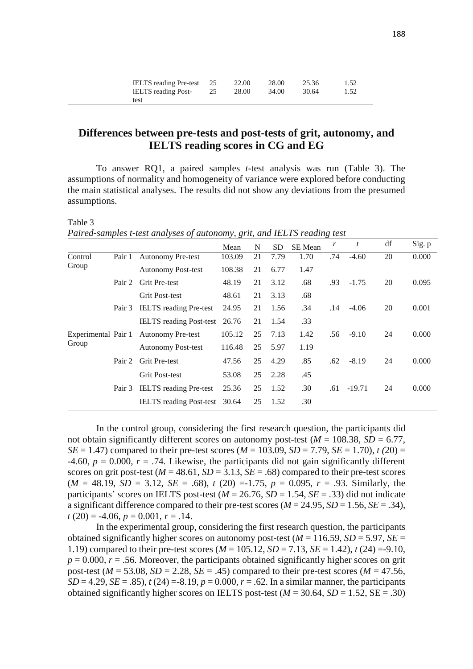| IELTS reading Pre-test 25  |     | 22.00 | 28.00 | 25.36 | 1.52 |
|----------------------------|-----|-------|-------|-------|------|
| <b>IELTS</b> reading Post- | -25 | 28.00 | 34.00 | 30.64 | 1.52 |
| test                       |     |       |       |       |      |

# **Differences between pre-tests and post-tests of grit, autonomy, and IELTS reading scores in CG and EG**

To answer RQ1, a paired samples *t*-test analysis was run (Table 3). The assumptions of normality and homogeneity of variance were explored before conducting the main statistical analyses. The results did not show any deviations from the presumed assumptions.

*Paired-samples t-test analyses of autonomy, grit, and IELTS reading test*

Table 3

|                              |        |                                | Mean   | N  | <b>SD</b> | SE Mean | r   | t        | df | Sig. p |
|------------------------------|--------|--------------------------------|--------|----|-----------|---------|-----|----------|----|--------|
| Control<br>Group             | Pair 1 | <b>Autonomy Pre-test</b>       | 103.09 | 21 | 7.79      | 1.70    | .74 | $-4.60$  | 20 | 0.000  |
|                              |        | <b>Autonomy Post-test</b>      | 108.38 | 21 | 6.77      | 1.47    |     |          |    |        |
|                              | Pair 2 | <b>Grit Pre-test</b>           | 48.19  | 21 | 3.12      | .68     | .93 | $-1.75$  | 20 | 0.095  |
|                              |        | <b>Grit Post-test</b>          | 48.61  | 21 | 3.13      | .68     |     |          |    |        |
|                              | Pair 3 | <b>IELTS</b> reading Pre-test  | 24.95  | 21 | 1.56      | .34     | .14 | $-4.06$  | 20 | 0.001  |
|                              |        | <b>IELTS</b> reading Post-test | 26.76  | 21 | 1.54      | .33     |     |          |    |        |
| Experimental Pair 1<br>Group |        | <b>Autonomy Pre-test</b>       | 105.12 | 25 | 7.13      | 1.42    | .56 | $-9.10$  | 24 | 0.000  |
|                              |        | <b>Autonomy Post-test</b>      | 116.48 | 25 | 5.97      | 1.19    |     |          |    |        |
|                              | Pair 2 | <b>Grit Pre-test</b>           | 47.56  | 25 | 4.29      | .85     | .62 | $-8.19$  | 24 | 0.000  |
|                              |        | <b>Grit Post-test</b>          | 53.08  | 25 | 2.28      | .45     |     |          |    |        |
|                              | Pair 3 | <b>IELTS</b> reading Pre-test  | 25.36  | 25 | 1.52      | .30     | .61 | $-19.71$ | 24 | 0.000  |
|                              |        | <b>IELTS</b> reading Post-test | 30.64  | 25 | 1.52      | .30     |     |          |    |        |

In the control group, considering the first research question, the participants did not obtain significantly different scores on autonomy post-test  $(M = 108.38, SD = 6.77,$ *SE* = 1.47) compared to their pre-test scores ( $M = 103.09$ , *SD* = 7.79, *SE* = 1.70), *t* (20) = -4.60,  $p = 0.000$ ,  $r = .74$ . Likewise, the participants did not gain significantly different scores on grit post-test ( $M = 48.61$ ,  $SD = 3.13$ ,  $SE = .68$ ) compared to their pre-test scores  $(M = 48.19, SD = 3.12, SE = .68), t(20) = 1.75, p = 0.095, r = .93$ . Similarly, the participants' scores on IELTS post-test ( $M = 26.76$ ,  $SD = 1.54$ ,  $SE = .33$ ) did not indicate a significant difference compared to their pre-test scores ( $M = 24.95$ ,  $SD = 1.56$ ,  $SE = .34$ ),  $t(20) = -4.06, p = 0.001, r = .14.$ 

In the experimental group, considering the first research question, the participants obtained significantly higher scores on autonomy post-test ( $M = 116.59$ ,  $SD = 5.97$ ,  $SE =$ 1.19) compared to their pre-test scores (*M* = 105.12, *SD* = 7.13, *SE* = 1.42), *t* (24) =-9.10,  $p = 0.000$ ,  $r = .56$ . Moreover, the participants obtained significantly higher scores on grit post-test ( $M = 53.08$ ,  $SD = 2.28$ ,  $SE = .45$ ) compared to their pre-test scores ( $M = 47.56$ , *SD* = 4.29, *SE* = .85), *t* (24) = -8.19, *p* = 0.000, *r* = .62. In a similar manner, the participants obtained significantly higher scores on IELTS post-test  $(M = 30.64, SD = 1.52, SE = .30)$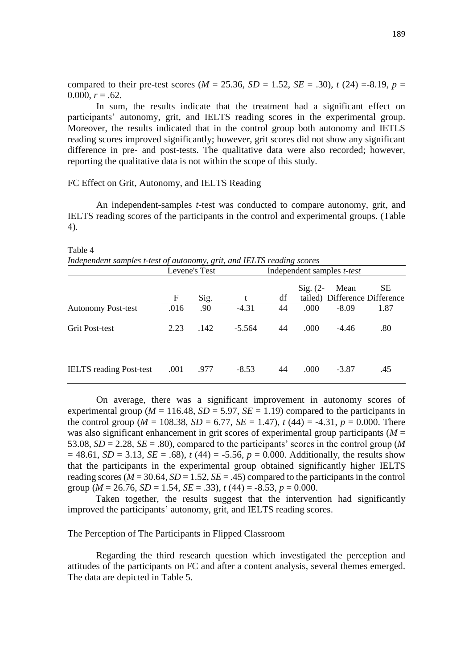compared to their pre-test scores ( $M = 25.36$ ,  $SD = 1.52$ ,  $SE = .30$ ),  $t(24) = -8.19$ ,  $p =$ 0.000,  $r = .62$ .

In sum, the results indicate that the treatment had a significant effect on participants' autonomy, grit, and IELTS reading scores in the experimental group. Moreover, the results indicated that in the control group both autonomy and IETLS reading scores improved significantly; however, grit scores did not show any significant difference in pre- and post-tests. The qualitative data were also recorded; however, reporting the qualitative data is not within the scope of this study.

## FC Effect on Grit, Autonomy, and IELTS Reading

An independent-samples *t*-test was conducted to compare autonomy, grit, and IELTS reading scores of the participants in the control and experimental groups. (Table 4).

#### Table 4

*Independent samples t-test of autonomy, grit, and IELTS reading scores*

|                                | Levene's Test |      |          | Independent samples <i>t</i> -test |            |         |                                            |
|--------------------------------|---------------|------|----------|------------------------------------|------------|---------|--------------------------------------------|
|                                | F             | Sig. | t        | df                                 | $Sig. (2-$ | Mean    | <b>SE</b><br>tailed) Difference Difference |
| <b>Autonomy Post-test</b>      | .016          | .90  | $-4.31$  | 44                                 | .000       | $-8.09$ | 1.87                                       |
| <b>Grit Post-test</b>          | 2.23          | .142 | $-5.564$ | 44                                 | .000       | $-4.46$ | .80                                        |
| <b>IELTS</b> reading Post-test | .001          | .977 | $-8.53$  | 44                                 | .000       | $-3.87$ | .45                                        |

On average, there was a significant improvement in autonomy scores of experimental group ( $M = 116.48$ ,  $SD = 5.97$ ,  $SE = 1.19$ ) compared to the participants in the control group ( $M = 108.38$ ,  $SD = 6.77$ ,  $SE = 1.47$ ),  $t(44) = -4.31$ ,  $p = 0.000$ . There was also significant enhancement in grit scores of experimental group participants ( $M =$ 53.08, *SD* = 2.28, *SE* = .80), compared to the participants' scores in the control group (*M*  $= 48.61, SD = 3.13, SE = .68$ ,  $t(44) = -5.56, p = 0.000$ . Additionally, the results show that the participants in the experimental group obtained significantly higher IELTS reading scores ( $M = 30.64$ ,  $SD = 1.52$ ,  $SE = .45$ ) compared to the participants in the control group ( $M = 26.76$ ,  $SD = 1.54$ ,  $SE = .33$ ),  $t(44) = -8.53$ ,  $p = 0.000$ .

Taken together, the results suggest that the intervention had significantly improved the participants' autonomy, grit, and IELTS reading scores.

## The Perception of The Participants in Flipped Classroom

Regarding the third research question which investigated the perception and attitudes of the participants on FC and after a content analysis, several themes emerged. The data are depicted in Table 5.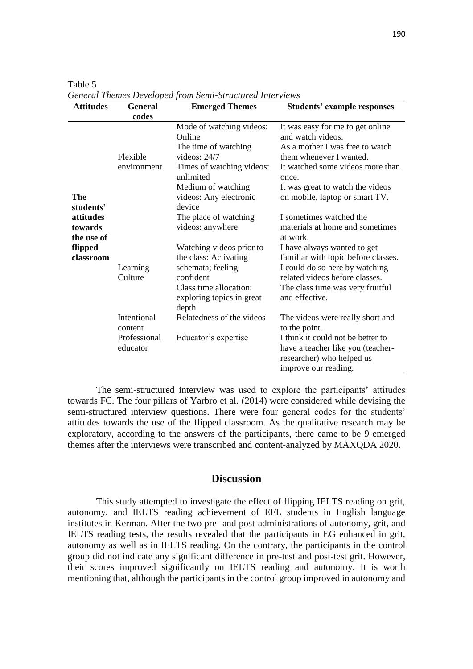Table 5

| <b>Attitudes</b>                   | <b>General</b>           | <b>Emerged Themes</b>                                        | <b>Students' example responses</b>                                                                                          |
|------------------------------------|--------------------------|--------------------------------------------------------------|-----------------------------------------------------------------------------------------------------------------------------|
|                                    | codes                    |                                                              |                                                                                                                             |
|                                    |                          | Mode of watching videos:<br>Online                           | It was easy for me to get online<br>and watch videos.                                                                       |
|                                    |                          | The time of watching                                         | As a mother I was free to watch                                                                                             |
|                                    | Flexible                 | videos: $24/7$                                               | them whenever I wanted.                                                                                                     |
|                                    | environment              | Times of watching videos:<br>unlimited                       | It watched some videos more than<br>once.                                                                                   |
| <b>The</b><br>students'            |                          | Medium of watching<br>videos: Any electronic<br>device       | It was great to watch the videos<br>on mobile, laptop or smart TV.                                                          |
| attitudes<br>towards<br>the use of |                          | The place of watching<br>videos: anywhere                    | I sometimes watched the<br>materials at home and sometimes<br>at work.                                                      |
| flipped<br>classroom               |                          | Watching videos prior to<br>the class: Activating            | I have always wanted to get<br>familiar with topic before classes.                                                          |
|                                    | Learning<br>Culture      | schemata; feeling<br>confident                               | I could do so here by watching<br>related videos before classes.                                                            |
|                                    |                          | Class time allocation:<br>exploring topics in great<br>depth | The class time was very fruitful<br>and effective.                                                                          |
|                                    | Intentional<br>content   | Relatedness of the videos                                    | The videos were really short and<br>to the point.                                                                           |
|                                    | Professional<br>educator | Educator's expertise                                         | I think it could not be better to<br>have a teacher like you (teacher-<br>researcher) who helped us<br>improve our reading. |

*General Themes Developed from Semi-Structured Interviews*

The semi-structured interview was used to explore the participants' attitudes towards FC. The four pillars of Yarbro et al. (2014) were considered while devising the semi-structured interview questions. There were four general codes for the students' attitudes towards the use of the flipped classroom. As the qualitative research may be exploratory, according to the answers of the participants, there came to be 9 emerged themes after the interviews were transcribed and content-analyzed by MAXQDA 2020.

# **Discussion**

This study attempted to investigate the effect of flipping IELTS reading on grit, autonomy, and IELTS reading achievement of EFL students in English language institutes in Kerman. After the two pre- and post-administrations of autonomy, grit, and IELTS reading tests, the results revealed that the participants in EG enhanced in grit, autonomy as well as in IELTS reading. On the contrary, the participants in the control group did not indicate any significant difference in pre-test and post-test grit. However, their scores improved significantly on IELTS reading and autonomy. It is worth mentioning that, although the participants in the control group improved in autonomy and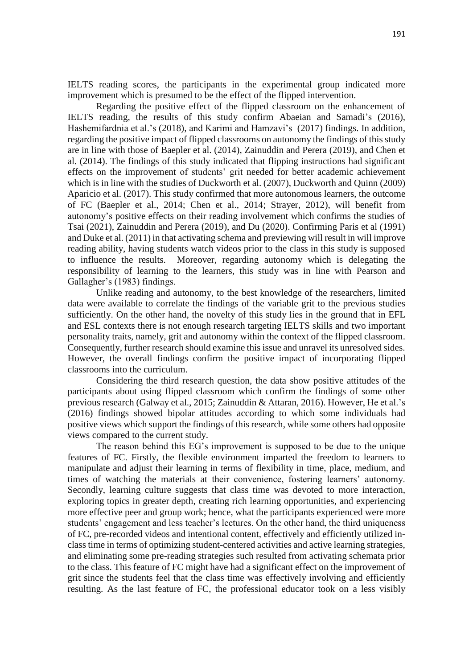IELTS reading scores, the participants in the experimental group indicated more improvement which is presumed to be the effect of the flipped intervention.

Regarding the positive effect of the flipped classroom on the enhancement of IELTS reading, the results of this study confirm Abaeian and Samadi's (2016), Hashemifardnia et al.'s (2018), and Karimi and Hamzavi's (2017) findings. In addition, regarding the positive impact of flipped classrooms on autonomy the findings of this study are in line with those of Baepler et al. (2014), Zainuddin and Perera (2019), and Chen et al. (2014). The findings of this study indicated that flipping instructions had significant effects on the improvement of students' grit needed for better academic achievement which is in line with the studies of Duckworth et al. (2007), Duckworth and Quinn (2009) Aparicio et al. (2017). This study confirmed that more autonomous learners, the outcome of FC (Baepler et al., 2014; Chen et al., 2014; Strayer, 2012), will benefit from autonomy's positive effects on their reading involvement which confirms the studies of Tsai (2021), Zainuddin and Perera (2019), and Du (2020). Confirming Paris et al (1991) and Duke et al. (2011) in that activating schema and previewing will result in will improve reading ability, having students watch videos prior to the class in this study is supposed to influence the results. Moreover, regarding autonomy which is delegating the responsibility of learning to the learners, this study was in line with Pearson and Gallagher's (1983) findings.

Unlike reading and autonomy, to the best knowledge of the researchers, limited data were available to correlate the findings of the variable grit to the previous studies sufficiently. On the other hand, the novelty of this study lies in the ground that in EFL and ESL contexts there is not enough research targeting IELTS skills and two important personality traits, namely, grit and autonomy within the context of the flipped classroom. Consequently, further research should examine this issue and unravel its unresolved sides. However, the overall findings confirm the positive impact of incorporating flipped classrooms into the curriculum.

Considering the third research question, the data show positive attitudes of the participants about using flipped classroom which confirm the findings of some other previous research (Galway et al., 2015; Zainuddin & Attaran, 2016). However, He et al.'s (2016) findings showed bipolar attitudes according to which some individuals had positive views which support the findings of this research, while some others had opposite views compared to the current study.

The reason behind this EG's improvement is supposed to be due to the unique features of FC. Firstly, the flexible environment imparted the freedom to learners to manipulate and adjust their learning in terms of flexibility in time, place, medium, and times of watching the materials at their convenience, fostering learners' autonomy. Secondly, learning culture suggests that class time was devoted to more interaction, exploring topics in greater depth, creating rich learning opportunities, and experiencing more effective peer and group work; hence, what the participants experienced were more students' engagement and less teacher's lectures. On the other hand, the third uniqueness of FC, pre-recorded videos and intentional content, effectively and efficiently utilized inclass time in terms of optimizing student-centered activities and active learning strategies, and eliminating some pre-reading strategies such resulted from activating schemata prior to the class. This feature of FC might have had a significant effect on the improvement of grit since the students feel that the class time was effectively involving and efficiently resulting. As the last feature of FC, the professional educator took on a less visibly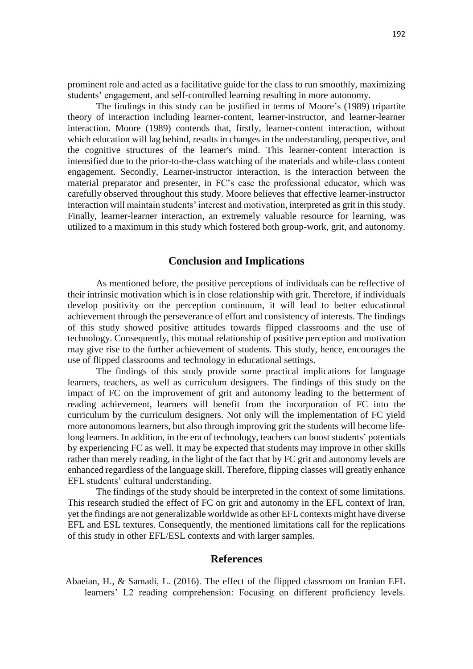prominent role and acted as a facilitative guide for the class to run smoothly, maximizing students' engagement, and self-controlled learning resulting in more autonomy.

The findings in this study can be justified in terms of Moore's (1989) tripartite theory of interaction including learner-content, learner-instructor, and learner-learner interaction. Moore (1989) contends that, firstly, learner-content interaction, without which education will lag behind, results in changes in the understanding, perspective, and the cognitive structures of the learner's mind. This learner-content interaction is intensified due to the prior-to-the-class watching of the materials and while-class content engagement. Secondly, Learner-instructor interaction, is the interaction between the material preparator and presenter, in FC's case the professional educator, which was carefully observed throughout this study. Moore believes that effective learner-instructor interaction will maintain students' interest and motivation, interpreted as grit in this study. Finally, learner-learner interaction, an extremely valuable resource for learning, was utilized to a maximum in this study which fostered both group-work, grit, and autonomy.

## **Conclusion and Implications**

As mentioned before, the positive perceptions of individuals can be reflective of their intrinsic motivation which is in close relationship with grit. Therefore, if individuals develop positivity on the perception continuum, it will lead to better educational achievement through the perseverance of effort and consistency of interests. The findings of this study showed positive attitudes towards flipped classrooms and the use of technology. Consequently, this mutual relationship of positive perception and motivation may give rise to the further achievement of students. This study, hence, encourages the use of flipped classrooms and technology in educational settings.

The findings of this study provide some practical implications for language learners, teachers, as well as curriculum designers. The findings of this study on the impact of FC on the improvement of grit and autonomy leading to the betterment of reading achievement, learners will benefit from the incorporation of FC into the curriculum by the curriculum designers. Not only will the implementation of FC yield more autonomous learners, but also through improving grit the students will become lifelong learners. In addition, in the era of technology, teachers can boost students' potentials by experiencing FC as well. It may be expected that students may improve in other skills rather than merely reading, in the light of the fact that by FC grit and autonomy levels are enhanced regardless of the language skill. Therefore, flipping classes will greatly enhance EFL students' cultural understanding.

The findings of the study should be interpreted in the context of some limitations. This research studied the effect of FC on grit and autonomy in the EFL context of Iran, yet the findings are not generalizable worldwide as other EFL contexts might have diverse EFL and ESL textures. Consequently, the mentioned limitations call for the replications of this study in other EFL/ESL contexts and with larger samples.

## **References**

Abaeian, H., & Samadi, L. (2016). The effect of the flipped classroom on Iranian EFL learners' L2 reading comprehension: Focusing on different proficiency levels.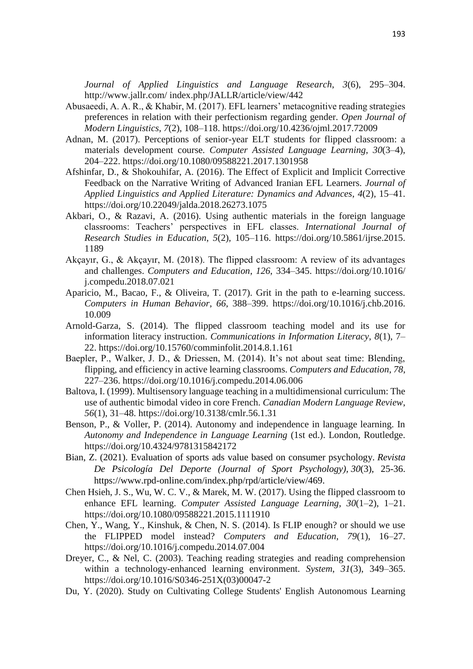*Journal of Applied Linguistics and Language Research*, *3*(6), 295–304. http://www.jallr.com/ index.php/JALLR/article/view/442

- Abusaeedi, A. A. R., & Khabir, M. (2017). EFL learners' metacognitive reading strategies preferences in relation with their perfectionism regarding gender. *Open Journal of Modern Linguistics*, *7*(2), 108–118. https://doi.org/10.4236/ojml.2017.72009
- Adnan, M. (2017). Perceptions of senior-year ELT students for flipped classroom: a materials development course. *Computer Assisted Language Learning*, *30*(3–4), 204–222. https://doi.org/10.1080/09588221.2017.1301958
- Afshinfar, D., & Shokouhifar, A. (2016). The Effect of Explicit and Implicit Corrective Feedback on the Narrative Writing of Advanced Iranian EFL Learners. *Journal of Applied Linguistics and Applied Literature: Dynamics and Advances*, *4*(2), 15–41. https://doi.org/10.22049/jalda.2018.26273.1075
- Akbari, O., & Razavi, A. (2016). Using authentic materials in the foreign language classrooms: Teachers' perspectives in EFL classes. *International Journal of Research Studies in Education*, *5*(2), 105–116. https://doi.org/10.5861/ijrse.2015. 1189
- Akçayır, G., & Akçayır, M. (2018). The flipped classroom: A review of its advantages and challenges. *Computers and Education*, *126*, 334–345. https://doi.org/10.1016/ j.compedu.2018.07.021
- Aparicio, M., Bacao, F., & Oliveira, T. (2017). Grit in the path to e-learning success. *Computers in Human Behavior*, *66*, 388–399. https://doi.org/10.1016/j.chb.2016. 10.009
- Arnold-Garza, S. (2014). The flipped classroom teaching model and its use for information literacy instruction. *Communications in Information Literacy*, *8*(1), 7– 22. https://doi.org/10.15760/comminfolit.2014.8.1.161
- Baepler, P., Walker, J. D., & Driessen, M. (2014). It's not about seat time: Blending, flipping, and efficiency in active learning classrooms. *Computers and Education*, *78*, 227–236. https://doi.org/10.1016/j.compedu.2014.06.006
- Baltova, I. (1999). Multisensory language teaching in a multidimensional curriculum: The use of authentic bimodal video in core French. *Canadian Modern Language Review*, *56*(1), 31–48. https://doi.org/10.3138/cmlr.56.1.31
- Benson, P., & Voller, P. (2014). Autonomy and independence in language learning. In *Autonomy and Independence in Language Learning* (1st ed.). London, Routledge. https://doi.org/10.4324/9781315842172
- Bian, Z. (2021). Evaluation of sports ads value based on consumer psychology. *Revista De Psicología Del Deporte (Journal of Sport Psychology), 30*(3), 25-36. [https://www.rpd-online.com/index.php/rpd/article/view/469.](https://www.rpd-online.com/index.php/rpd/article/view/469)
- Chen Hsieh, J. S., Wu, W. C. V., & Marek, M. W. (2017). Using the flipped classroom to enhance EFL learning. *Computer Assisted Language Learning*, *30*(1–2), 1–21. https://doi.org/10.1080/09588221.2015.1111910
- Chen, Y., Wang, Y., Kinshuk, & Chen, N. S. (2014). Is FLIP enough? or should we use the FLIPPED model instead? *Computers and Education*, *79*(1), 16–27. https://doi.org/10.1016/j.compedu.2014.07.004
- Dreyer, C., & Nel, C. (2003). Teaching reading strategies and reading comprehension within a technology-enhanced learning environment. *System*, *31*(3), 349–365. https://doi.org/10.1016/S0346-251X(03)00047-2
- Du, Y. (2020). Study on Cultivating College Students' English Autonomous Learning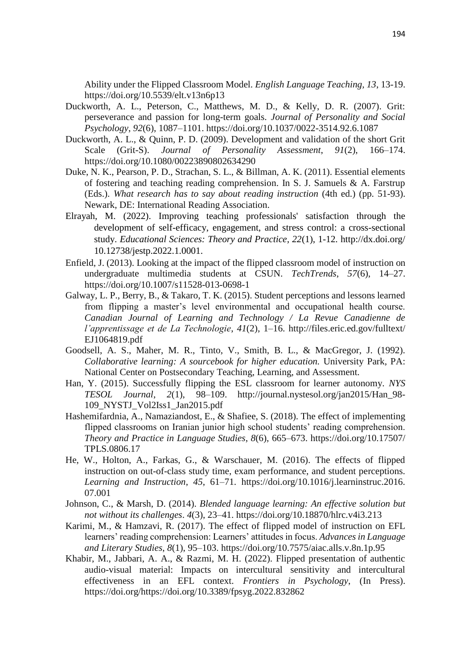Ability under the Flipped Classroom Model. *English Language Teaching, 13*, 13-19. https://doi.org/10.5539/elt.v13n6p13

- Duckworth, A. L., Peterson, C., Matthews, M. D., & Kelly, D. R. (2007). Grit: perseverance and passion for long-term goals. *Journal of Personality and Social Psychology*, *92*(6), 1087–1101. https://doi.org/10.1037/0022-3514.92.6.1087
- Duckworth, A. L., & Quinn, P. D. (2009). Development and validation of the short Grit Scale (Grit-S). *Journal of Personality Assessment*, *91*(2), 166–174. https://doi.org/10.1080/00223890802634290
- Duke, N. K., Pearson, P. D., Strachan, S. L., & Billman, A. K. (2011). Essential elements of fostering and teaching reading comprehension. In S. J. Samuels & A. Farstrup (Eds.). *What research has to say about reading instruction* (4th ed.) (pp. 51-93). Newark, DE: International Reading Association.
- Elrayah, M. (2022). Improving teaching professionals' satisfaction through the development of self-efficacy, engagement, and stress control: a cross-sectional study. *Educational Sciences: Theory and Practice, 22*(1), 1-12. http://dx.doi.org/ 10.12738/jestp.2022.1.0001.
- Enfield, J. (2013). Looking at the impact of the flipped classroom model of instruction on undergraduate multimedia students at CSUN. *TechTrends*, *57*(6), 14–27. https://doi.org/10.1007/s11528-013-0698-1
- Galway, L. P., Berry, B., & Takaro, T. K. (2015). Student perceptions and lessons learned from flipping a master's level environmental and occupational health course. *Canadian Journal of Learning and Technology / La Revue Canadienne de l'apprentissage et de La Technologie*, *41*(2), 1–16. http://files.eric.ed.gov/fulltext/ EJ1064819.pdf
- Goodsell, A. S., Maher, M. R., Tinto, V., Smith, B. L., & MacGregor, J. (1992). *Collaborative learning: A sourcebook for higher education.* University Park, PA: National Center on Postsecondary Teaching, Learning, and Assessment.
- Han, Y. (2015). Successfully flipping the ESL classroom for learner autonomy. *NYS TESOL Journal*, *2*(1), 98–109. http://journal.nystesol.org/jan2015/Han\_98- 109\_NYSTJ\_Vol2Iss1\_Jan2015.pdf
- Hashemifardnia, A., Namaziandost, E., & Shafiee, S. (2018). The effect of implementing flipped classrooms on Iranian junior high school students' reading comprehension. *Theory and Practice in Language Studies*, *8*(6), 665–673. https://doi.org/10.17507/ TPLS.0806.17
- He, W., Holton, A., Farkas, G., & Warschauer, M. (2016). The effects of flipped instruction on out-of-class study time, exam performance, and student perceptions. *Learning and Instruction*, *45*, 61–71. https://doi.org/10.1016/j.learninstruc.2016. 07.001
- Johnson, C., & Marsh, D. (2014). *Blended language learning: An effective solution but not without its challenges*. *4*(3), 23–41. https://doi.org/10.18870/hlrc.v4i3.213
- Karimi, M., & Hamzavi, R. (2017). The effect of flipped model of instruction on EFL learners' reading comprehension: Learners' attitudes in focus. *Advances in Language and Literary Studies*, *8*(1), 95–103. https://doi.org/10.7575/aiac.alls.v.8n.1p.95
- Khabir, M., Jabbari, A. A., & Razmi, M. H. (2022). Flipped presentation of authentic audio-visual material: Impacts on intercultural sensitivity and intercultural effectiveness in an EFL context. *Frontiers in Psychology*, (In Press). https://doi.org/https://doi.org/10.3389/fpsyg.2022.832862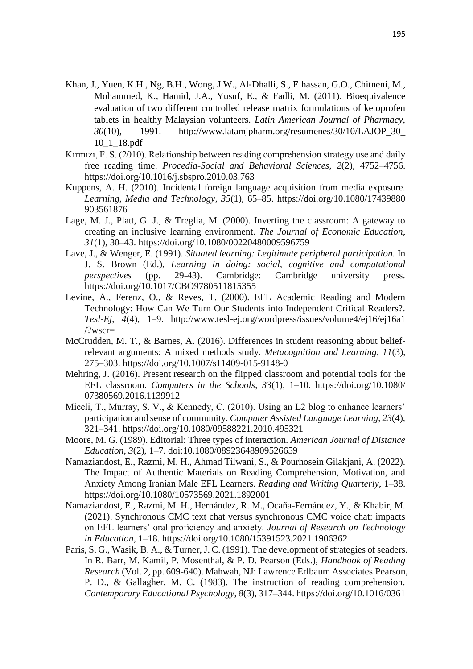- Khan, J., Yuen, K.H., Ng, B.H., Wong, J.W., Al‐Dhalli, S., Elhassan, G.O., Chitneni, M., Mohammed, K., Hamid, J.A., Yusuf, E., & Fadli, M. (2011). Bioequivalence evaluation of two different controlled release matrix formulations of ketoprofen tablets in healthy Malaysian volunteers. *Latin American Journal of Pharmacy, 30*(10), 1991. http://www.latamjpharm.org/resumenes/30/10/LAJOP\_30\_ 10\_1\_18.pdf
- Kırmızı, F. S. (2010). Relationship between reading comprehension strategy use and daily free reading time. *Procedia-Social and Behavioral Sciences*, *2*(2), 4752–4756. https://doi.org/10.1016/j.sbspro.2010.03.763
- Kuppens, A. H. (2010). Incidental foreign language acquisition from media exposure. *Learning, Media and Technology*, *35*(1), 65–85. https://doi.org/10.1080/17439880 903561876
- Lage, M. J., Platt, G. J., & Treglia, M. (2000). Inverting the classroom: A gateway to creating an inclusive learning environment. *The Journal of Economic Education*, *31*(1), 30–43. https://doi.org/10.1080/00220480009596759
- Lave, J., & Wenger, E. (1991). *Situated learning: Legitimate peripheral participation.* In J. S. Brown (Ed.), *Learning in doing: social, cognitive and computational perspectives* (pp. 29-43). Cambridge: Cambridge university press. https://doi.org/10.1017/CBO9780511815355
- Levine, A., Ferenz, O., & Reves, T. (2000). EFL Academic Reading and Modern Technology: How Can We Turn Our Students into Independent Critical Readers?. *Tesl-Ej, 4*(4), 1–9. http://www.tesl-ej.org/wordpress/issues/volume4/ej16/ej16a1  $/2$ wscr $=$
- McCrudden, M. T., & Barnes, A. (2016). Differences in student reasoning about beliefrelevant arguments: A mixed methods study. *Metacognition and Learning*, *11*(3), 275–303. https://doi.org/10.1007/s11409-015-9148-0
- Mehring, J. (2016). Present research on the flipped classroom and potential tools for the EFL classroom. *Computers in the Schools*, *33*(1), 1–10. https://doi.org/10.1080/ 07380569.2016.1139912
- Miceli, T., Murray, S. V., & Kennedy, C. (2010). Using an L2 blog to enhance learners' participation and sense of community. *Computer Assisted Language Learning*, *23*(4), 321–341. https://doi.org/10.1080/09588221.2010.495321
- Moore, M. G. (1989). Editorial: Three types of interaction. *American Journal of Distance Education, 3*(2), 1–7. doi:10.1080/08923648909526659
- Namaziandost, E., Razmi, M. H., Ahmad Tilwani, S., & Pourhosein Gilakjani, A. (2022). The Impact of Authentic Materials on Reading Comprehension, Motivation, and Anxiety Among Iranian Male EFL Learners. *Reading and Writing Quarterly*, 1–38. https://doi.org/10.1080/10573569.2021.1892001
- Namaziandost, E., Razmi, M. H., Hernández, R. M., Ocaña-Fernández, Y., & Khabir, M. (2021). Synchronous CMC text chat versus synchronous CMC voice chat: impacts on EFL learners' oral proficiency and anxiety. *Journal of Research on Technology in Education*, 1–18. https://doi.org/10.1080/15391523.2021.1906362
- Paris, S. G., Wasik, B. A., & Turner, J. C. (1991). The development of strategies of seaders. In R. Barr, M. Kamil, P. Mosenthal, & P. D. Pearson (Eds.), *Handbook of Reading Research* (Vol. 2, pp. 609-640). Mahwah, NJ: Lawrence Erlbaum Associates.Pearson, P. D., & Gallagher, M. C. (1983). The instruction of reading comprehension. *Contemporary Educational Psychology*, *8*(3), 317–344. https://doi.org/10.1016/0361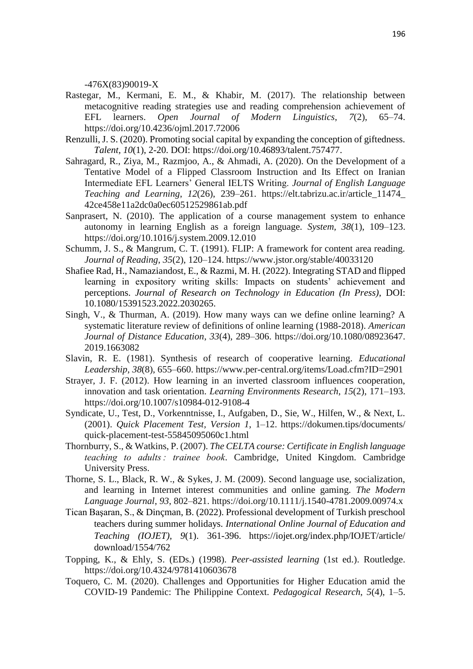-476X(83)90019-X

- Rastegar, M., Kermani, E. M., & Khabir, M. (2017). The relationship between metacognitive reading strategies use and reading comprehension achievement of EFL learners. *Open Journal of Modern Linguistics*, *7*(2), 65–74. https://doi.org/10.4236/ojml.2017.72006
- Renzulli, J. S. (2020). Promoting social capital by expanding the conception of giftedness. *Talent, 10*(1), 2-20. DOI: [https://doi.org/10.46893/talent.757477.](https://doi.org/10.46893/talent.757477)
- Sahragard, R., Ziya, M., Razmjoo, A., & Ahmadi, A. (2020). On the Development of a Tentative Model of a Flipped Classroom Instruction and Its Effect on Iranian Intermediate EFL Learners' General IELTS Writing. *Journal of English Language Teaching and Learning*, *12*(26), 239–261. https://elt.tabrizu.ac.ir/article\_11474\_ 42ce458e11a2dc0a0ec60512529861ab.pdf
- Sanprasert, N. (2010). The application of a course management system to enhance autonomy in learning English as a foreign language. *System, 38*(1), 109–123. https://doi.org/10.1016/j.system.2009.12.010
- Schumm, J. S., & Mangrum, C. T. (1991). FLIP: A framework for content area reading. *Journal of Reading*, *35*(2), 120–124. https://www.jstor.org/stable/40033120
- Shafiee Rad, H., Namaziandost, E., & Razmi, M. H. (2022). Integrating STAD and flipped learning in expository writing skills: Impacts on students' achievement and perceptions. *Journal of Research on Technology in Education (In Press)*, DOI: 10.1080/15391523.2022.2030265.
- Singh, V., & Thurman, A. (2019). How many ways can we define online learning? A systematic literature review of definitions of online learning (1988-2018). *American Journal of Distance Education*, *33*(4), 289–306. https://doi.org/10.1080/08923647. 2019.1663082
- Slavin, R. E. (1981). Synthesis of research of cooperative learning. *Educational Leadership*, *38*(8), 655–660. https://www.per-central.org/items/Load.cfm?ID=2901
- Strayer, J. F. (2012). How learning in an inverted classroom influences cooperation, innovation and task orientation. *Learning Environments Research*, *15*(2), 171–193. https://doi.org/10.1007/s10984-012-9108-4
- Syndicate, U., Test, D., Vorkenntnisse, I., Aufgaben, D., Sie, W., Hilfen, W., & Next, L. (2001). *Quick Placement Test, Version 1*, 1–12. https://dokumen.tips/documents/ quick-placement-test-55845095060c1.html
- Thornburry, S., & Watkins, P. (2007). *The CELTA course: Certificate in English language teaching to adults : trainee book*. Cambridge, United Kingdom. Cambridge University Press.
- Thorne, S. L., Black, R. W., & Sykes, J. M. (2009). Second language use, socialization, and learning in Internet interest communities and online gaming. *The Modern Language Journal*, *93*, 802–821. https://doi.org/10.1111/j.1540-4781.2009.00974.x
- Tican Başaran, S., & Dinçman, B. (2022). Professional development of Turkish preschool teachers during summer holidays. *International Online Journal of Education and Teaching (IOJET), 9*(1). 361-396. https://iojet.org/index.php/IOJET/article/ download/1554/762
- Topping, K., & Ehly, S. (EDs.) (1998). *Peer-assisted learning* (1st ed.). Routledge. https://doi.org/10.4324/9781410603678
- Toquero, C. M. (2020). Challenges and Opportunities for Higher Education amid the COVID-19 Pandemic: The Philippine Context. *Pedagogical Research*, *5*(4), 1–5.